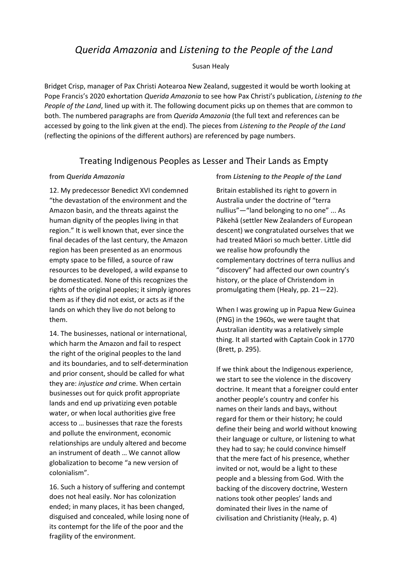# *Querida Amazonia* and *Listening to the People of the Land*

Susan Healy

Bridget Crisp, manager of Pax Christi Aotearoa New Zealand, suggested it would be worth looking at Pope Francis's 2020 exhortation *Querida Amazonia* to see how Pax Christi's publication, *Listening to the People of the Land*, lined up with it. The following document picks up on themes that are common to both. The numbered paragraphs are from *Querida Amazonia* (the full text and references can be accessed by going to the link given at the end). The pieces from *Listening to the People of the Land* (reflecting the opinions of the different authors) are referenced by page numbers.

## Treating Indigenous Peoples as Lesser and Their Lands as Empty

### **from** *Querida Amazonia*

12. My predecessor Benedict XVI condemned "the devastation of the environment and the Amazon basin, and the threats against the human dignity of the peoples living in that region." It is well known that, ever since the final decades of the last century, the Amazon region has been presented as an enormous empty space to be filled, a source of raw resources to be developed, a wild expanse to be domesticated. None of this recognizes the rights of the original peoples; it simply ignores them as if they did not exist, or acts as if the lands on which they live do not belong to them.

14. The businesses, national or international, which harm the Amazon and fail to respect the right of the original peoples to the land and its boundaries, and to self-determination and prior consent, should be called for what they are: *injustice and* crime. When certain businesses out for quick profit appropriate lands and end up privatizing even potable water, or when local authorities give free access to … businesses that raze the forests and pollute the environment, economic relationships are unduly altered and become an instrument of death … We cannot allow globalization to become "a new version of colonialism".

16. Such a history of suffering and contempt does not heal easily. Nor has colonization ended; in many places, it has been changed, disguised and concealed, while losing none of its contempt for the life of the poor and the fragility of the environment.

### **from** *Listening to the People of the Land*

Britain established its right to govern in Australia under the doctrine of "terra nullius"—"land belonging to no one" ... As Pākehā (settler New Zealanders of European descent) we congratulated ourselves that we had treated Māori so much better. Little did we realise how profoundly the complementary doctrines of terra nullius and "discovery" had affected our own country's history, or the place of Christendom in promulgating them (Healy, pp. 21—22).

When I was growing up in Papua New Guinea (PNG) in the 1960s, we were taught that Australian identity was a relatively simple thing. It all started with Captain Cook in 1770 (Brett, p. 295).

If we think about the Indigenous experience, we start to see the violence in the discovery doctrine. It meant that a foreigner could enter another people's country and confer his names on their lands and bays, without regard for them or their history; he could define their being and world without knowing their language or culture, or listening to what they had to say; he could convince himself that the mere fact of his presence, whether invited or not, would be a light to these people and a blessing from God. With the backing of the discovery doctrine, Western nations took other peoples' lands and dominated their lives in the name of civilisation and Christianity (Healy, p. 4)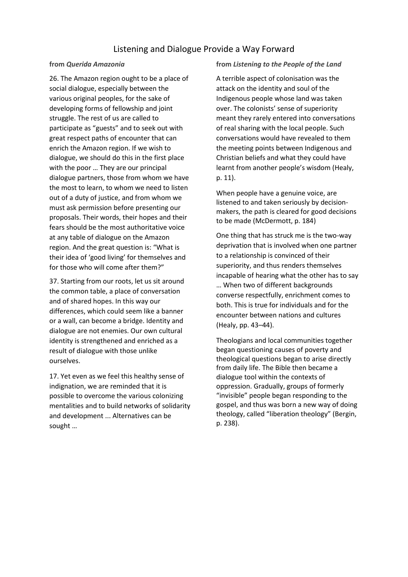## Listening and Dialogue Provide a Way Forward

### **from** *Querida Amazonia*

26. The Amazon region ought to be a place of social dialogue, especially between the various original peoples, for the sake of developing forms of fellowship and joint struggle. The rest of us are called to participate as "guests" and to seek out with great respect paths of encounter that can enrich the Amazon region. If we wish to dialogue, we should do this in the first place with the poor … They are our principal dialogue partners, those from whom we have the most to learn, to whom we need to listen out of a duty of justice, and from whom we must ask permission before presenting our proposals. Their words, their hopes and their fears should be the most authoritative voice at any table of dialogue on the Amazon region. And the great question is: "What is their idea of 'good living' for themselves and for those who will come after them?"

37. Starting from our roots, let us sit around the common table, a place of conversation and of shared hopes. In this way our differences, which could seem like a banner or a wall, can become a bridge. Identity and dialogue are not enemies. Our own cultural identity is strengthened and enriched as a result of dialogue with those unlike ourselves.

17. Yet even as we feel this healthy sense of indignation, we are reminded that it is possible to overcome the various colonizing mentalities and to build networks of solidarity and development ... Alternatives can be sought …

### **from** *Listening to the People of the Land*

A terrible aspect of colonisation was the attack on the identity and soul of the Indigenous people whose land was taken over. The colonists' sense of superiority meant they rarely entered into conversations of real sharing with the local people. Such conversations would have revealed to them the meeting points between Indigenous and Christian beliefs and what they could have learnt from another people's wisdom (Healy, p. 11).

When people have a genuine voice, are listened to and taken seriously by decisionmakers, the path is cleared for good decisions to be made (McDermott, p. 184)

One thing that has struck me is the two-way deprivation that is involved when one partner to a relationship is convinced of their superiority, and thus renders themselves incapable of hearing what the other has to say … When two of different backgrounds converse respectfully, enrichment comes to both. This is true for individuals and for the encounter between nations and cultures (Healy, pp. 43–44).

Theologians and local communities together began questioning causes of poverty and theological questions began to arise directly from daily life. The Bible then became a dialogue tool within the contexts of oppression. Gradually, groups of formerly "invisible" people began responding to the gospel, and thus was born a new way of doing theology, called "liberation theology" (Bergin, p. 238).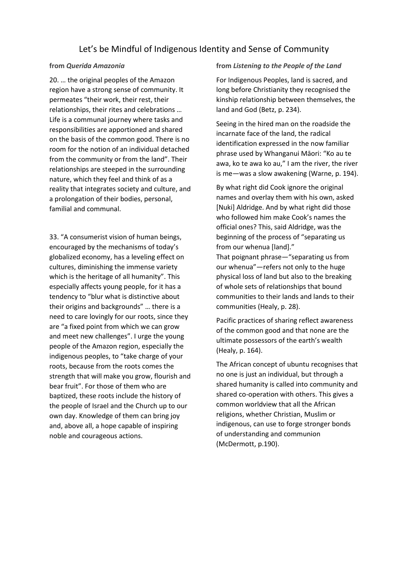## Let's be Mindful of Indigenous Identity and Sense of Community

### **from** *Querida Amazonia*

20. … the original peoples of the Amazon region have a strong sense of community. It permeates "their work, their rest, their relationships, their rites and celebrations … Life is a communal journey where tasks and responsibilities are apportioned and shared on the basis of the common good. There is no room for the notion of an individual detached from the community or from the land". Their relationships are steeped in the surrounding nature, which they feel and think of as a reality that integrates society and culture, and a prolongation of their bodies, personal, familial and communal.

33. "A consumerist vision of human beings, encouraged by the mechanisms of today's globalized economy, has a leveling effect on cultures, diminishing the immense variety which is the heritage of all humanity". This especially affects young people, for it has a tendency to "blur what is distinctive about their origins and backgrounds" … there is a need to care lovingly for our roots, since they are "a fixed point from which we can grow and meet new challenges". I urge the young people of the Amazon region, especially the indigenous peoples, to "take charge of your roots, because from the roots comes the strength that will make you grow, flourish and bear fruit". For those of them who are baptized, these roots include the history of the people of Israel and the Church up to our own day. Knowledge of them can bring joy and, above all, a hope capable of inspiring noble and courageous actions.

### **from** *Listening to the People of the Land*

For Indigenous Peoples, land is sacred, and long before Christianity they recognised the kinship relationship between themselves, the land and God (Betz, p. 234).

Seeing in the hired man on the roadside the incarnate face of the land, the radical identification expressed in the now familiar phrase used by Whanganui Māori: "Ko au te awa, ko te awa ko au," I am the river, the river is me—was a slow awakening (Warne, p. 194).

By what right did Cook ignore the original names and overlay them with his own, asked [Nuki] Aldridge. And by what right did those who followed him make Cook's names the official ones? This, said Aldridge, was the beginning of the process of "separating us from our whenua [land]."

That poignant phrase—"separating us from our whenua"—refers not only to the huge physical loss of land but also to the breaking of whole sets of relationships that bound communities to their lands and lands to their communities (Healy, p. 28).

Pacific practices of sharing reflect awareness of the common good and that none are the ultimate possessors of the earth's wealth (Healy, p. 164).

The African concept of ubuntu recognises that no one is just an individual, but through a shared humanity is called into community and shared co-operation with others. This gives a common worldview that all the African religions, whether Christian, Muslim or indigenous, can use to forge stronger bonds of understanding and communion (McDermott, p.190).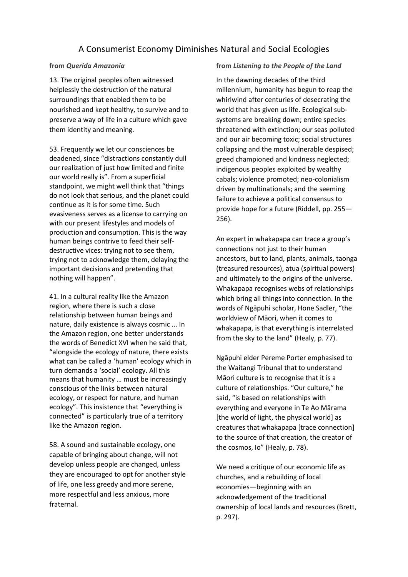## A Consumerist Economy Diminishes Natural and Social Ecologies

### **from** *Querida Amazonia*

13. The original peoples often witnessed helplessly the destruction of the natural surroundings that enabled them to be nourished and kept healthy, to survive and to preserve a way of life in a culture which gave them identity and meaning.

53. Frequently we let our consciences be deadened, since "distractions constantly dull our realization of just how limited and finite our world really is". From a superficial standpoint, we might well think that "things do not look that serious, and the planet could continue as it is for some time. Such evasiveness serves as a license to carrying on with our present lifestyles and models of production and consumption. This is the way human beings contrive to feed their selfdestructive vices: trying not to see them, trying not to acknowledge them, delaying the important decisions and pretending that nothing will happen".

41. In a cultural reality like the Amazon region, where there is such a close relationship between human beings and nature, daily existence is always cosmic ... In the Amazon region, one better understands the words of Benedict XVI when he said that, "alongside the ecology of nature, there exists what can be called a 'human' ecology which in turn demands a 'social' ecology. All this means that humanity … must be increasingly conscious of the links between natural ecology, or respect for nature, and human ecology". This insistence that "everything is connected" is particularly true of a territory like the Amazon region.

58. A sound and sustainable ecology, one capable of bringing about change, will not develop unless people are changed, unless they are encouraged to opt for another style of life, one less greedy and more serene, more respectful and less anxious, more fraternal.

### **from** *Listening to the People of the Land*

In the dawning decades of the third millennium, humanity has begun to reap the whirlwind after centuries of desecrating the world that has given us life. Ecological subsystems are breaking down; entire species threatened with extinction; our seas polluted and our air becoming toxic; social structures collapsing and the most vulnerable despised; greed championed and kindness neglected; indigenous peoples exploited by wealthy cabals; violence promoted; neo-colonialism driven by multinationals; and the seeming failure to achieve a political consensus to provide hope for a future (Riddell, pp. 255— 256).

An expert in whakapapa can trace a group's connections not just to their human ancestors, but to land, plants, animals, taonga (treasured resources), atua (spiritual powers) and ultimately to the origins of the universe. Whakapapa recognises webs of relationships which bring all things into connection. In the words of Ngāpuhi scholar, Hone Sadler, "the worldview of Māori, when it comes to whakapapa, is that everything is interrelated from the sky to the land" (Healy, p. 77).

Ngāpuhi elder Pereme Porter emphasised to the Waitangi Tribunal that to understand Māori culture is to recognise that it is a culture of relationships. "Our culture," he said, "is based on relationships with everything and everyone in Te Ao Mārama [the world of light, the physical world] as creatures that whakapapa [trace connection] to the source of that creation, the creator of the cosmos, Io" (Healy, p. 78).

We need a critique of our economic life as churches, and a rebuilding of local economies—beginning with an acknowledgement of the traditional ownership of local lands and resources (Brett, p. 297).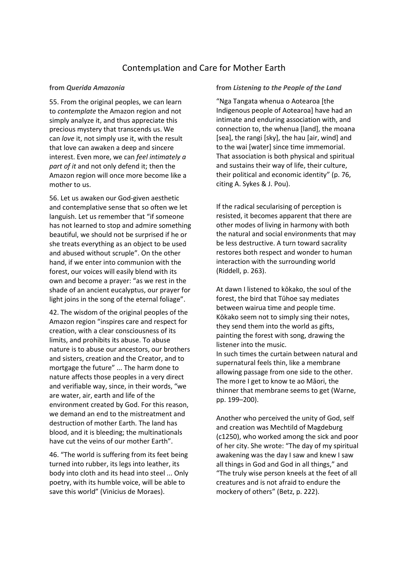## Contemplation and Care for Mother Earth

#### **from** *Querida Amazonia*

55. From the original peoples, we can learn to *contemplate* the Amazon region and not simply analyze it, and thus appreciate this precious mystery that transcends us. We can *love* it, not simply use it, with the result that love can awaken a deep and sincere interest. Even more, we can *feel intimately a part of it* and not only defend it; then the Amazon region will once more become like a mother to us.

56. Let us awaken our God-given aesthetic and contemplative sense that so often we let languish. Let us remember that "if someone has not learned to stop and admire something beautiful, we should not be surprised if he or she treats everything as an object to be used and abused without scruple". On the other hand, if we enter into communion with the forest, our voices will easily blend with its own and become a prayer: "as we rest in the shade of an ancient eucalyptus, our prayer for light joins in the song of the eternal foliage".

42. The wisdom of the original peoples of the Amazon region "inspires care and respect for creation, with a clear consciousness of its limits, and prohibits its abuse. To abuse nature is to abuse our ancestors, our brothers and sisters, creation and the Creator, and to mortgage the future" ... The harm done to nature affects those peoples in a very direct and verifiable way, since, in their words, "we are water, air, earth and life of the environment created by God. For this reason, we demand an end to the mistreatment and destruction of mother Earth. The land has blood, and it is bleeding; the multinationals have cut the veins of our mother Earth".

46. "The world is suffering from its feet being turned into rubber, its legs into leather, its body into cloth and its head into steel ... Only poetry, with its humble voice, will be able to save this world" (Vinicius de Moraes).

#### **from** *Listening to the People of the Land*

"Nga Tangata whenua o Aotearoa [the Indigenous people of Aotearoa] have had an intimate and enduring association with, and connection to, the whenua [land], the moana [sea], the rangi [sky], the hau [air, wind] and to the wai [water] since time immemorial. That association is both physical and spiritual and sustains their way of life, their culture, their political and economic identity" (p. 76, citing A. Sykes & J. Pou).

If the radical secularising of perception is resisted, it becomes apparent that there are other modes of living in harmony with both the natural and social environments that may be less destructive. A turn toward sacrality restores both respect and wonder to human interaction with the surrounding world (Riddell, p. 263).

At dawn I listened to kōkako, the soul of the forest, the bird that Tūhoe say mediates between wairua time and people time. Kōkako seem not to simply sing their notes, they send them into the world as gifts, painting the forest with song, drawing the listener into the music. In such times the curtain between natural and supernatural feels thin, like a membrane

allowing passage from one side to the other. The more I get to know te ao Māori, the thinner that membrane seems to get (Warne, pp. 199–200).

Another who perceived the unity of God, self and creation was Mechtild of Magdeburg (c1250), who worked among the sick and poor of her city. She wrote: "The day of my spiritual awakening was the day I saw and knew I saw all things in God and God in all things," and "The truly wise person kneels at the feet of all creatures and is not afraid to endure the mockery of others" (Betz, p. 222).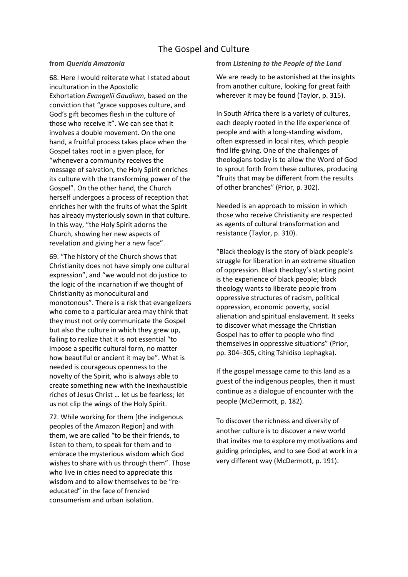### **from** *Querida Amazonia*

68. Here I would reiterate what I stated about inculturation in the Apostolic Exhortation *Evangelii Gaudium*, based on the conviction that "grace supposes culture, and God's gift becomes flesh in the culture of those who receive it". We can see that it involves a double movement. On the one hand, a fruitful process takes place when the Gospel takes root in a given place, for "whenever a community receives the message of salvation, the Holy Spirit enriches its culture with the transforming power of the Gospel". On the other hand, the Church herself undergoes a process of reception that enriches her with the fruits of what the Spirit has already mysteriously sown in that culture. In this way, "the Holy Spirit adorns the Church, showing her new aspects of revelation and giving her a new face".

69. "The history of the Church shows that Christianity does not have simply one cultural expression", and "we would not do justice to the logic of the incarnation if we thought of Christianity as monocultural and monotonous". There is a risk that evangelizers who come to a particular area may think that they must not only communicate the Gospel but also the culture in which they grew up, failing to realize that it is not essential "to impose a specific cultural form, no matter how beautiful or ancient it may be". What is needed is courageous openness to the novelty of the Spirit, who is always able to create something new with the inexhaustible riches of Jesus Christ … let us be fearless; let us not clip the wings of the Holy Spirit.

72. While working for them [the indigenous peoples of the Amazon Region] and with them, we are called "to be their friends, to listen to them, to speak for them and to embrace the mysterious wisdom which God wishes to share with us through them". Those who live in cities need to appreciate this wisdom and to allow themselves to be "reeducated" in the face of frenzied consumerism and urban isolation.

### **from** *Listening to the People of the Land*

We are ready to be astonished at the insights from another culture, looking for great faith wherever it may be found (Taylor, p. 315).

In South Africa there is a variety of cultures, each deeply rooted in the life experience of people and with a long-standing wisdom, often expressed in local rites, which people find life-giving. One of the challenges of theologians today is to allow the Word of God to sprout forth from these cultures, producing "fruits that may be different from the results of other branches" (Prior, p. 302).

Needed is an approach to mission in which those who receive Christianity are respected as agents of cultural transformation and resistance (Taylor, p. 310).

"Black theology is the story of black people's struggle for liberation in an extreme situation of oppression. Black theology's starting point is the experience of black people; black theology wants to liberate people from oppressive structures of racism, political oppression, economic poverty, social alienation and spiritual enslavement. It seeks to discover what message the Christian Gospel has to offer to people who find themselves in oppressive situations" (Prior, pp. 304–305, citing Tshidiso Lephagka).

If the gospel message came to this land as a guest of the indigenous peoples, then it must continue as a dialogue of encounter with the people (McDermott, p. 182).

To discover the richness and diversity of another culture is to discover a new world that invites me to explore my motivations and guiding principles, and to see God at work in a very different way (McDermott, p. 191).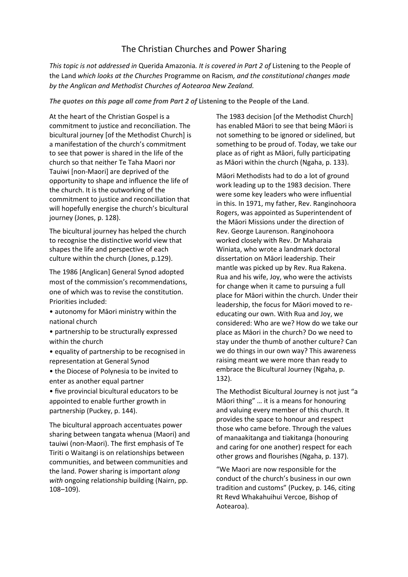## The Christian Churches and Power Sharing

*This topic is not addressed in* Querida Amazonia*. It is covered in Part 2 of* Listening to the People of the Land *which looks at the Churches* Programme on Racism*, and the constitutional changes made by the Anglican and Methodist Churches of Aotearoa New Zealand.*

*The quotes on this page all come from Part 2 of* **Listening to the People of the Land***.*

At the heart of the Christian Gospel is a commitment to justice and reconciliation. The bicultural journey [of the Methodist Church] is a manifestation of the church's commitment to see that power is shared in the life of the church so that neither Te Taha Maori nor Tauiwi [non-Maori] are deprived of the opportunity to shape and influence the life of the church. It is the outworking of the commitment to justice and reconciliation that will hopefully energise the church's bicultural journey (Jones, p. 128).

The bicultural journey has helped the church to recognise the distinctive world view that shapes the life and perspective of each culture within the church (Jones, p.129).

The 1986 [Anglican] General Synod adopted most of the commission's recommendations, one of which was to revise the constitution. Priorities included:

- autonomy for Māori ministry within the national church
- partnership to be structurally expressed within the church
- equality of partnership to be recognised in representation at General Synod
- the Diocese of Polynesia to be invited to enter as another equal partner
- five provincial bicultural educators to be appointed to enable further growth in partnership (Puckey, p. 144).

The bicultural approach accentuates power sharing between tangata whenua (Maori) and tauiwi (non-Maori). The first emphasis of Te Tiriti o Waitangi is on relationships between communities, and between communities and the land. Power sharing is important *along with* ongoing relationship building (Nairn, pp. 108–109).

The 1983 decision [of the Methodist Church] has enabled Māori to see that being Māori is not something to be ignored or sidelined, but something to be proud of. Today, we take our place as of right as Māori, fully participating as Māori within the church (Ngaha, p. 133).

Māori Methodists had to do a lot of ground work leading up to the 1983 decision. There were some key leaders who were influential in this. In 1971, my father, Rev. Ranginohoora Rogers, was appointed as Superintendent of the Māori Missions under the direction of Rev. George Laurenson. Ranginohoora worked closely with Rev. Dr Maharaia Winiata, who wrote a landmark doctoral dissertation on Māori leadership. Their mantle was picked up by Rev. Rua Rakena. Rua and his wife, Joy, who were the activists for change when it came to pursuing a full place for Māori within the church. Under their leadership, the focus for Māori moved to reeducating our own. With Rua and Joy, we considered: Who are we? How do we take our place as Māori in the church? Do we need to stay under the thumb of another culture? Can we do things in our own way? This awareness raising meant we were more than ready to embrace the Bicultural Journey (Ngaha, p. 132).

The Methodist Bicultural Journey is not just "a Māori thing" … it is a means for honouring and valuing every member of this church. It provides the space to honour and respect those who came before. Through the values of manaakitanga and tiakitanga (honouring and caring for one another) respect for each other grows and flourishes (Ngaha, p. 137).

"We Maori are now responsible for the conduct of the church's business in our own tradition and customs" (Puckey, p. 146, citing Rt Revd Whakahuihui Vercoe, Bishop of Aotearoa).